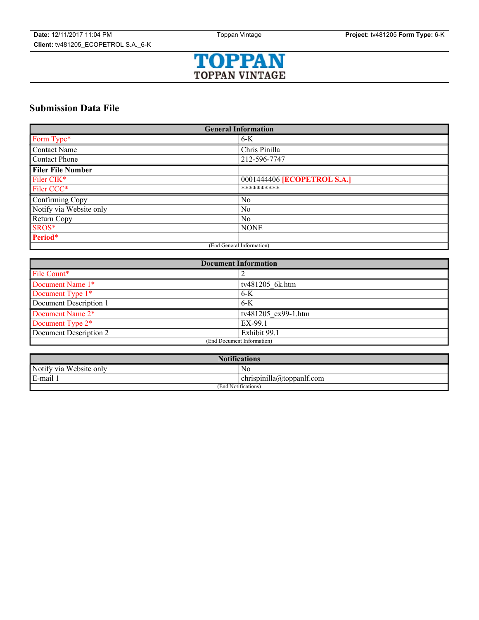

# **Submission Data File**

| <b>General Information</b> |                                    |
|----------------------------|------------------------------------|
| Form Type*                 | $6-K$                              |
| <b>Contact Name</b>        | Chris Pinilla                      |
| Contact Phone              | 212-596-7747                       |
| <b>Filer File Number</b>   |                                    |
| Filer CIK*                 | 0001444406 <b>[ECOPETROL S.A.]</b> |
| Filer CCC*                 | **********                         |
| Confirming Copy            | No                                 |
| Notify via Website only    | N <sub>0</sub>                     |
| Return Copy                | No                                 |
| SROS*                      | <b>NONE</b>                        |
| Period*                    |                                    |
| (End General Information)  |                                    |

| <b>Document Information</b> |                                   |
|-----------------------------|-----------------------------------|
| File Count*                 |                                   |
| Document Name 1*            | tv481205 6k.htm                   |
| Document Type 1*            | $6-K$                             |
| Document Description 1      | $6 - K$                           |
| Document Name 2*            | $\frac{1}{1}$ tv481205 ex99-1.htm |
| Document Type 2*            | EX-99.1                           |
| Document Description 2      | Exhibit 99.1                      |
| (End Document Information)  |                                   |

| <b>Notifications</b>       |                                   |  |
|----------------------------|-----------------------------------|--|
| Notify via<br>Website only | NC                                |  |
| E-mail 1                   | $-1$<br>chrispinilla@toppanff.com |  |
| (End Notifications)        |                                   |  |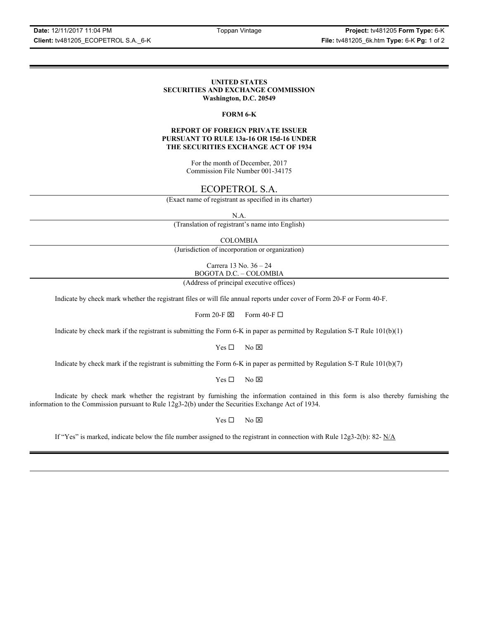**Date:** 12/11/2017 11:04 PM Toppan Vintage **Project:** tv481205 **Form Type:** 6-K **Client:** tv481205\_ECOPETROL S.A.\_6-K **File:** tv481205\_6k.htm **Type:** 6-K **Pg:** 1 of 2

# **UNITED STATES SECURITIES AND EXCHANGE COMMISSION Washington, D.C. 20549**

### **FORM 6-K**

# **REPORT OF FOREIGN PRIVATE ISSUER PURSUANT TO RULE 13a-16 OR 15d-16 UNDER THE SECURITIES EXCHANGE ACT OF 1934**

For the month of December, 2017 Commission File Number 001-34175

# ECOPETROL S.A.

(Exact name of registrant as specified in its charter)

N.A.

(Translation of registrant's name into English)

COLOMBIA

(Jurisdiction of incorporation or organization)

Carrera 13 No. 36 – 24 BOGOTA D.C. – COLOMBIA

(Address of principal executive offices)

Indicate by check mark whether the registrant files or will file annual reports under cover of Form 20-F or Form 40-F.

Form 20-F  $\boxtimes$  Form 40-F  $\Box$ 

Indicate by check mark if the registrant is submitting the Form 6-K in paper as permitted by Regulation S-T Rule 101(b)(1)

 $Yes \Box$  No  $\overline{\times}$ 

Indicate by check mark if the registrant is submitting the Form 6-K in paper as permitted by Regulation S-T Rule 101(b)(7)

 $Yes \Box$  No  $\boxtimes$ 

Indicate by check mark whether the registrant by furnishing the information contained in this form is also thereby furnishing the information to the Commission pursuant to Rule 12g3-2(b) under the Securities Exchange Act of 1934.

 $Yes \Box$  No  $\boxtimes$ 

If "Yes" is marked, indicate below the file number assigned to the registrant in connection with Rule 12g3-2(b): 82-  $N/A$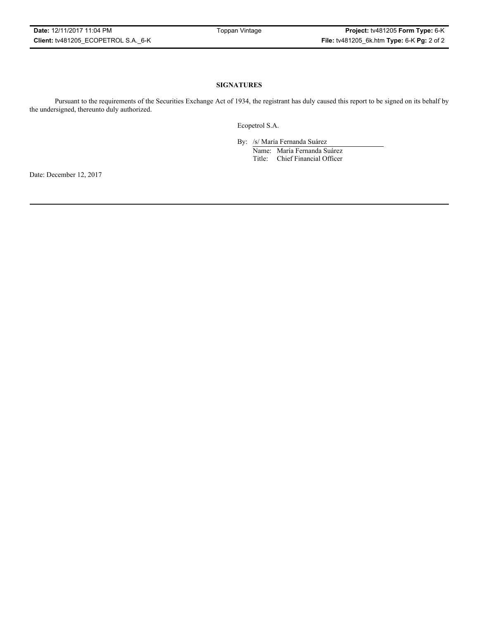# **SIGNATURES**

Pursuant to the requirements of the Securities Exchange Act of 1934, the registrant has duly caused this report to be signed on its behalf by the undersigned, thereunto duly authorized.

Ecopetrol S.A.

By: /s/ María Fernanda Suárez Name: María Fernanda Suárez Title: Chief Financial Officer

Date: December 12, 2017